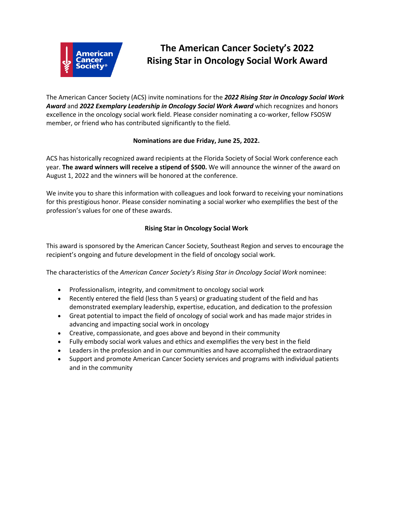

# **The American Cancer Society's 2022 Rising Star in Oncology Social Work Award**

The American Cancer Society (ACS) invite nominations for the *2022 Rising Star in Oncology Social Work Award* and *2022 Exemplary Leadership in Oncology Social Work Award* which recognizes and honors excellence in the oncology social work field. Please consider nominating a co-worker, fellow FSOSW member, or friend who has contributed significantly to the field.

## **Nominations are due Friday, June 25, 2022.**

ACS has historically recognized award recipients at the Florida Society of Social Work conference each year. **The award winners will receive a stipend of \$500.** We will announce the winner of the award on August 1, 2022 and the winners will be honored at the conference.

We invite you to share this information with colleagues and look forward to receiving your nominations for this prestigious honor. Please consider nominating a social worker who exemplifies the best of the profession's values for one of these awards.

# **Rising Star in Oncology Social Work**

This award is sponsored by the American Cancer Society, Southeast Region and serves to encourage the recipient's ongoing and future development in the field of oncology social work.

The characteristics of the *American Cancer Society's Rising Star in Oncology Social Work* nominee:

- Professionalism, integrity, and commitment to oncology social work
- Recently entered the field (less than 5 years) or graduating student of the field and has demonstrated exemplary leadership, expertise, education, and dedication to the profession
- Great potential to impact the field of oncology of social work and has made major strides in advancing and impacting social work in oncology
- Creative, compassionate, and goes above and beyond in their community
- Fully embody social work values and ethics and exemplifies the very best in the field
- Leaders in the profession and in our communities and have accomplished the extraordinary
- Support and promote American Cancer Society services and programs with individual patients and in the community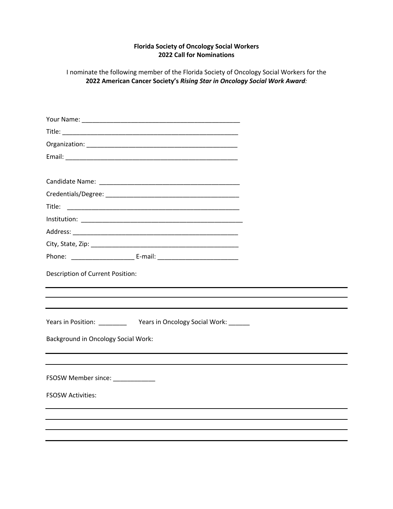## **Florida Society of Oncology Social Workers 2022 Call for Nominations**

I nominate the following member of the Florida Society of Oncology Social Workers for the **2022 American Cancer Society's** *Rising Star in Oncology Social Work Award:*

| Title:                                                                  |  |
|-------------------------------------------------------------------------|--|
|                                                                         |  |
|                                                                         |  |
|                                                                         |  |
|                                                                         |  |
| Description of Current Position:                                        |  |
|                                                                         |  |
|                                                                         |  |
| Years in Position: _____________ Years in Oncology Social Work: _______ |  |
| <b>Background in Oncology Social Work:</b>                              |  |
|                                                                         |  |
| FSOSW Member since: _____________                                       |  |
| <b>FSOSW Activities:</b>                                                |  |
|                                                                         |  |
|                                                                         |  |
|                                                                         |  |
|                                                                         |  |